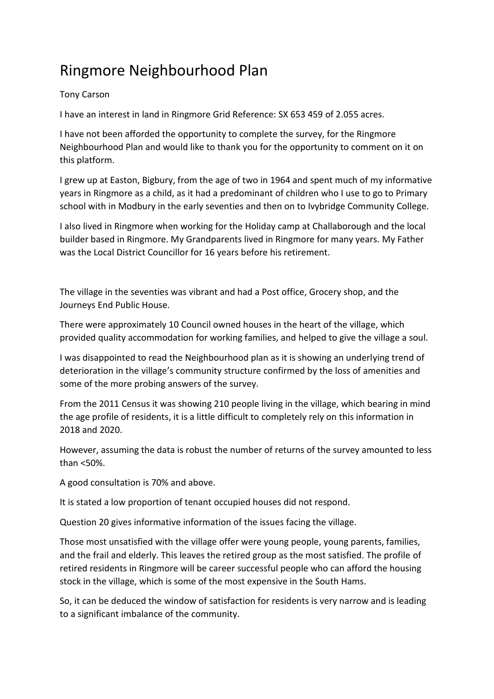## Ringmore Neighbourhood Plan

## Tony Carson

I have an interest in land in Ringmore Grid Reference: SX 653 459 of 2.055 acres.

I have not been afforded the opportunity to complete the survey, for the Ringmore Neighbourhood Plan and would like to thank you for the opportunity to comment on it on this platform.

I grew up at Easton, Bigbury, from the age of two in 1964 and spent much of my informative years in Ringmore as a child, as it had a predominant of children who I use to go to Primary school with in Modbury in the early seventies and then on to Ivybridge Community College.

I also lived in Ringmore when working for the Holiday camp at Challaborough and the local builder based in Ringmore. My Grandparents lived in Ringmore for many years. My Father was the Local District Councillor for 16 years before his retirement.

The village in the seventies was vibrant and had a Post office, Grocery shop, and the Journeys End Public House.

There were approximately 10 Council owned houses in the heart of the village, which provided quality accommodation for working families, and helped to give the village a soul.

I was disappointed to read the Neighbourhood plan as it is showing an underlying trend of deterioration in the village's community structure confirmed by the loss of amenities and some of the more probing answers of the survey.

From the 2011 Census it was showing 210 people living in the village, which bearing in mind the age profile of residents, it is a little difficult to completely rely on this information in 2018 and 2020.

However, assuming the data is robust the number of returns of the survey amounted to less than <50%.

A good consultation is 70% and above.

It is stated a low proportion of tenant occupied houses did not respond.

Question 20 gives informative information of the issues facing the village.

Those most unsatisfied with the village offer were young people, young parents, families, and the frail and elderly. This leaves the retired group as the most satisfied. The profile of retired residents in Ringmore will be career successful people who can afford the housing stock in the village, which is some of the most expensive in the South Hams.

So, it can be deduced the window of satisfaction for residents is very narrow and is leading to a significant imbalance of the community.